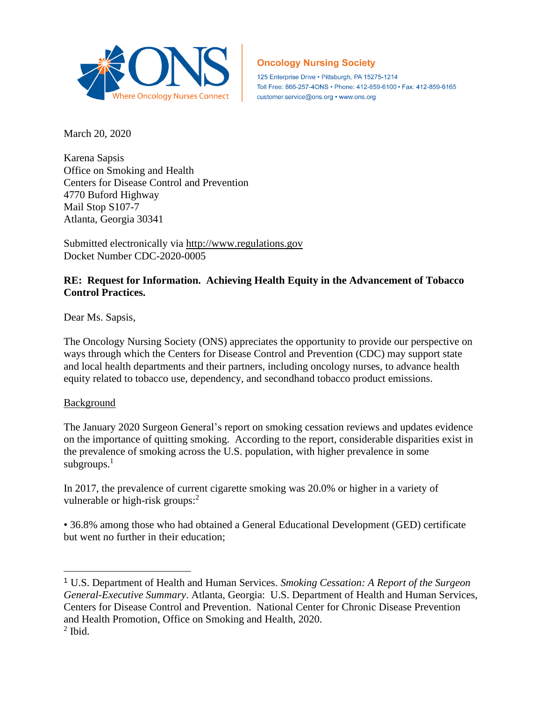

# **Oncology Nursing Society**

125 Enterprise Drive · Pittsburgh, PA 15275-1214 Toll Free: 866-257-4ONS • Phone: 412-859-6100 • Fax: 412-859-6165 customer.service@ons.org • www.ons.org

March 20, 2020

Karena Sapsis Office on Smoking and Health Centers for Disease Control and Prevention 4770 Buford Highway Mail Stop S107-7 Atlanta, Georgia 30341

Submitted electronically via [http://www.regulations.gov](http://www.regulations.gov/) Docket Number CDC-2020-0005

# **RE: Request for Information. Achieving Health Equity in the Advancement of Tobacco Control Practices.**

Dear Ms. Sapsis,

The Oncology Nursing Society (ONS) appreciates the opportunity to provide our perspective on ways through which the Centers for Disease Control and Prevention (CDC) may support state and local health departments and their partners, including oncology nurses, to advance health equity related to tobacco use, dependency, and secondhand tobacco product emissions.

### Background

The January 2020 Surgeon General's report on smoking cessation reviews and updates evidence on the importance of quitting smoking. According to the report, considerable disparities exist in the prevalence of smoking across the U.S. population, with higher prevalence in some subgroups.<sup>1</sup>

In 2017, the prevalence of current cigarette smoking was 20.0% or higher in a variety of vulnerable or high-risk groups: $<sup>2</sup>$ </sup>

• 36.8% among those who had obtained a General Educational Development (GED) certificate but went no further in their education;

<sup>1</sup> U.S. Department of Health and Human Services. *Smoking Cessation: A Report of the Surgeon General-Executive Summary*. Atlanta, Georgia: U.S. Department of Health and Human Services, Centers for Disease Control and Prevention. National Center for Chronic Disease Prevention and Health Promotion, Office on Smoking and Health, 2020.  $<sup>2</sup>$  Ibid.</sup>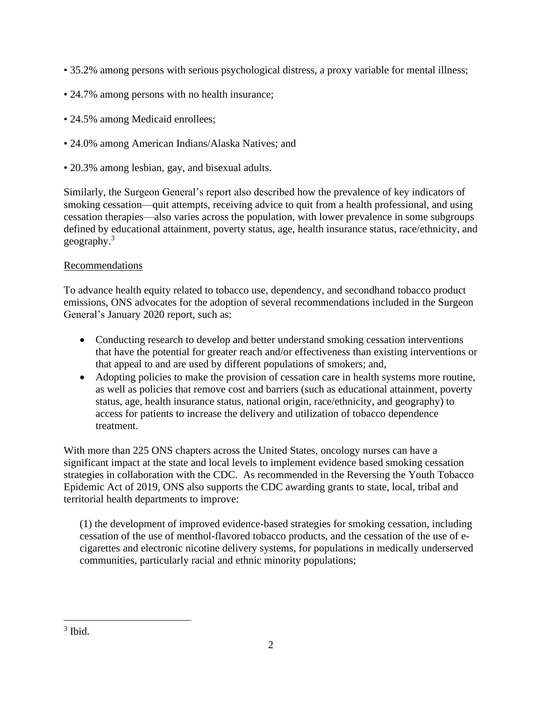- 35.2% among persons with serious psychological distress, a proxy variable for mental illness;
- 24.7% among persons with no health insurance;
- 24.5% among Medicaid enrollees;
- 24.0% among American Indians/Alaska Natives; and
- 20.3% among lesbian, gay, and bisexual adults.

Similarly, the Surgeon General's report also described how the prevalence of key indicators of smoking cessation—quit attempts, receiving advice to quit from a health professional, and using cessation therapies—also varies across the population, with lower prevalence in some subgroups defined by educational attainment, poverty status, age, health insurance status, race/ethnicity, and geography.<sup>3</sup>

## Recommendations

To advance health equity related to tobacco use, dependency, and secondhand tobacco product emissions, ONS advocates for the adoption of several recommendations included in the Surgeon General's January 2020 report, such as:

- Conducting research to develop and better understand smoking cessation interventions that have the potential for greater reach and/or effectiveness than existing interventions or that appeal to and are used by different populations of smokers; and,
- Adopting policies to make the provision of cessation care in health systems more routine, as well as policies that remove cost and barriers (such as educational attainment, poverty status, age, health insurance status, national origin, race/ethnicity, and geography) to access for patients to increase the delivery and utilization of tobacco dependence treatment.

With more than 225 ONS chapters across the United States, oncology nurses can have a significant impact at the state and local levels to implement evidence based smoking cessation strategies in collaboration with the CDC. As recommended in the Reversing the Youth Tobacco Epidemic Act of 2019, ONS also supports the CDC awarding grants to state, local, tribal and territorial health departments to improve:

(1) the development of improved evidence-based strategies for smoking cessation, including cessation of the use of menthol-flavored tobacco products, and the cessation of the use of ecigarettes and electronic nicotine delivery systems, for populations in medically underserved communities, particularly racial and ethnic minority populations;

<sup>3</sup> Ibid.